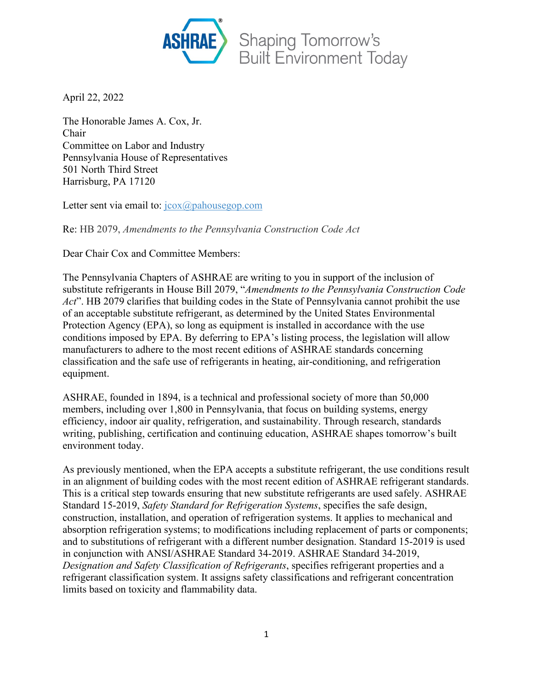

April 22, 2022

The Honorable James A. Cox, Jr. Chair Committee on Labor and Industry Pennsylvania House of Representatives 501 North Third Street Harrisburg, PA 17120

Letter sent via email to: [jcox@pahousegop.com](mailto:jcox@pahousegop.com)

Re: HB 2079, *Amendments to the Pennsylvania Construction Code Act*

Dear Chair Cox and Committee Members:

The Pennsylvania Chapters of ASHRAE are writing to you in support of the inclusion of substitute refrigerants in House Bill 2079, "*Amendments to the Pennsylvania Construction Code*  Act". HB 2079 clarifies that building codes in the State of Pennsylvania cannot prohibit the use of an acceptable substitute refrigerant, as determined by the United States Environmental Protection Agency (EPA), so long as equipment is installed in accordance with the use conditions imposed by EPA. By deferring to EPA's listing process, the legislation will allow manufacturers to adhere to the most recent editions of ASHRAE standards concerning classification and the safe use of refrigerants in heating, air-conditioning, and refrigeration equipment.

ASHRAE, founded in 1894, is a technical and professional society of more than 50,000 members, including over 1,800 in Pennsylvania, that focus on building systems, energy efficiency, indoor air quality, refrigeration, and sustainability. Through research, standards writing, publishing, certification and continuing education, ASHRAE shapes tomorrow's built environment today.

As previously mentioned, when the EPA accepts a substitute refrigerant, the use conditions result in an alignment of building codes with the most recent edition of ASHRAE refrigerant standards. This is a critical step towards ensuring that new substitute refrigerants are used safely. ASHRAE Standard 15-2019, *Safety Standard for Refrigeration Systems*, specifies the safe design, construction, installation, and operation of refrigeration systems. It applies to mechanical and absorption refrigeration systems; to modifications including replacement of parts or components; and to substitutions of refrigerant with a different number designation. Standard 15-2019 is used in conjunction with ANSI/ASHRAE Standard 34-2019. ASHRAE Standard 34-2019, *Designation and Safety Classification of Refrigerants*, specifies refrigerant properties and a refrigerant classification system. It assigns safety classifications and refrigerant concentration limits based on toxicity and flammability data.